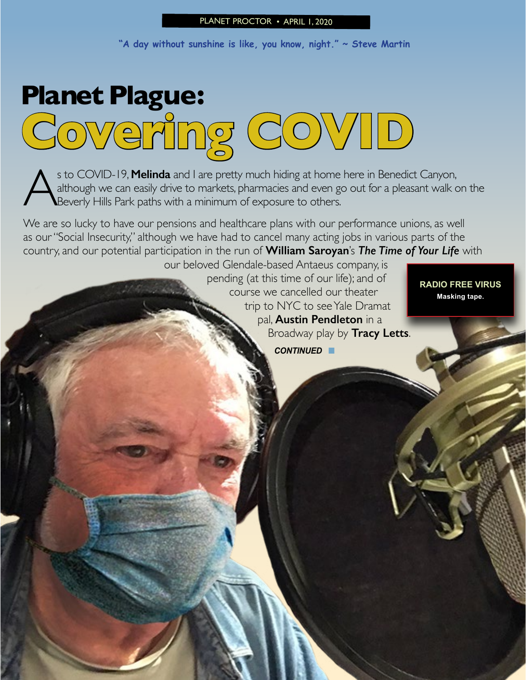#### PLANET PROCTOR • APRIL 1, 2020

**"A day without sunshine is like, you know, night." ~ Steve Martin**

# **Planet Plague: Covering COVID**

s to COVID-19, **Melinda** and I are pretty much hiding at home here in Benedict Canyon,<br>although we can easily drive to markets, pharmacies and even go out for a pleasant walk conserved Hills Park paths with a minimum of ex although we can easily drive to markets, pharmacies and even go out for a pleasant walk on the Beverly Hills Park paths with a minimum of exposure to others.

We are so lucky to have our pensions and healthcare plans with our performance unions, as well as our "Social Insecurity," although we have had to cancel many acting jobs in various parts of the country, and our potential participation in the run of **William Saroyan**'s *The Time of Your Life* with

our beloved Glendale-based Antaeus company, is pending (at this time of our life); and of course we cancelled our theater trip to NYC to see Yale Dramat pal, **Austin Pendleton** in a Broadway play by **Tracy Letts**.

*CONTINUED* n

**RADIO FREE VIRUS Masking tape.**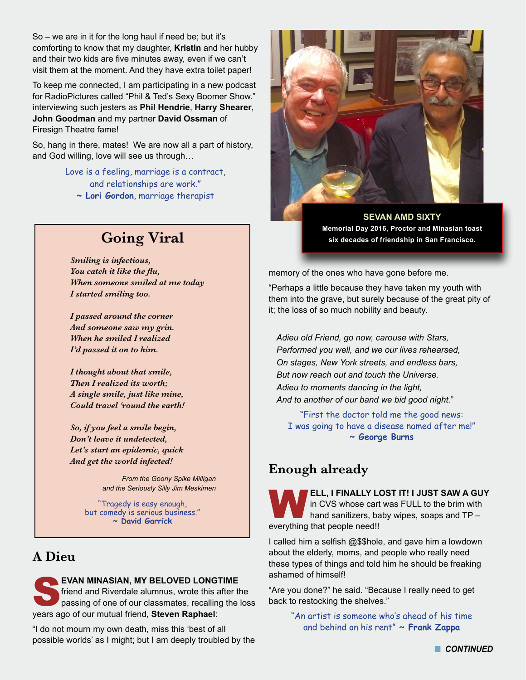So – we are in it for the long haul if need be; but it's comforting to know that my daughter, **Kristin** and her hubby and their two kids are five minutes away, even if we can't visit them at the moment. And they have extra toilet paper!

To keep me connected, I am participating in a new podcast for RadioPictures called "Phil & Ted's Sexy Boomer Show." interviewing such jesters as **Phil Hendrie**, **Harry Shearer**, **John Goodman** and my partner **David Ossman** of Firesign Theatre fame!

So, hang in there, mates! We are now all a part of history, and God willing, love will see us through…

> Love is a feeling, marriage is a contract, and relationships are work."

**~ Lori Gordon**, marriage therapist

## **Going Viral**

*Smiling is infectious, You catch it like the flu, When someone smiled at me today I started smiling too.*

*I passed around the corner And someone saw my grin. When he smiled I realized I'd passed it on to him.*

*I thought about that smile, Then I realized its worth; A single smile, just like mine, Could travel 'round the earth!*

*So, if you feel a smile begin, Don't leave it undetected, Let's start an epidemic, quick And get the world infected!*

> *From the Goony Spike Milligan and the Seriously Silly Jim Meskimen*

"Tragedy is easy enough, but comedy is serious business." **~ David Garrick**

## **A Dieu**

**EVAN MINASIAN, MY BELOVED LONGTIME** friend and Riverdale alumnus, wrote this after the passing of one of our classmates, recalling the loss years ago of our mutual friend, **Steven Raphael**:

"I do not mourn my own death, miss this 'best of all possible worlds' as I might; but I am deeply troubled by the



**SEVAN AMD SIXTY Memorial Day 2016, Proctor and Minasian toast six decades of friendship in San Francisco.**

memory of the ones who have gone before me.

"Perhaps a little because they have taken my youth with them into the grave, but surely because of the great pity of it; the loss of so much nobility and beauty.

*Adieu old Friend, go now, carouse with Stars, Performed you well, and we our lives rehearsed, On stages, New York streets, and endless bars, But now reach out and touch the Universe. Adieu to moments dancing in the light, And to another of our band we bid good night.*"

"First the doctor told me the good news: I was going to have a disease named after me!" **~ George Burns**

## **Enough already**

W**ELL, I FINALLY LOST IT! I JUST SAW A GUY**  in CVS whose cart was FULL to the brim with hand sanitizers, baby wipes, soaps and TP – everything that people need!!

I called him a selfish @\$\$hole, and gave him a lowdown about the elderly, moms, and people who really need these types of things and told him he should be freaking ashamed of himself!

"Are you done?" he said. "Because I really need to get back to restocking the shelves."

> "An artist is someone who's ahead of his time and behind on his rent" **~ Frank Zappa**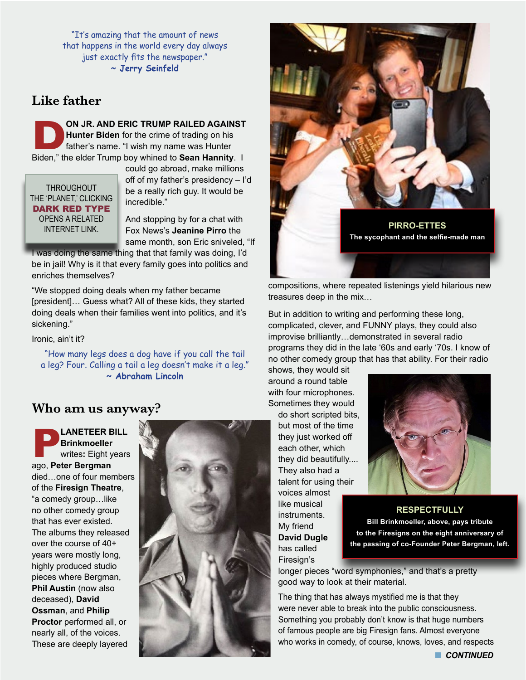"It's amazing that the amount of news that happens in the world every day always just exactly fits the newspaper." **~ Jerry Seinfeld**

## **Like father**

**DRIC TRUMP RAILED AGAINST**<br>
Hunter Biden for the crime of trading on his<br>
father's name. "I wish my name was Hunter<br>
Biden," the elder Trump boy whined to **Sean Hannity**. I **Hunter Biden** for the crime of trading on his father's name. "I wish my name was Hunter

**THROUGHOUT** THE 'PLANET,' CLICKING DARK RED TYPE OPENS A RELATED

could go abroad, make millions off of my father's presidency – I'd be a really rich guy. It would be incredible."

And stopping by for a chat with same month, son Eric sniveled, "If

I was doing the same thing that that family was doing, I'd be in jail! Why is it that every family goes into politics and enriches themselves?

"We stopped doing deals when my father became [president]… Guess what? All of these kids, they started doing deals when their families went into politics, and it's sickening."

Ironic, ain't it?

"How many legs does a dog have if you call the tail a leg? Four. Calling a tail a leg doesn't make it a leg." **~ Abraham Lincoln**

#### **Who am us anyway?**

**PLANETEER BILL Brinkmoeller**  writes**:** Eight years ago, **Peter Bergman** died…one of four members of the **Firesign Theatre**, "a comedy group…like no other comedy group that has ever existed. The albums they released over the course of 40+ years were mostly long, highly produced studio pieces where Bergman, **Phil Austin** (now also deceased), **David Ossman**, and **Philip Proctor** performed all, or nearly all, of the voices. These are deeply layered





compositions, where repeated listenings yield hilarious new treasures deep in the mix…

But in addition to writing and performing these long, complicated, clever, and FUNNY plays, they could also improvise brilliantly…demonstrated in several radio programs they did in the late '60s and early '70s. I know of no other comedy group that has that ability. For their radio

shows, they would sit around a round table with four microphones. Sometimes they would

> do short scripted bits, but most of the time they just worked off each other, which they did beautifully.... They also had a talent for using their voices almost like musical instruments. My friend **David Dugle** has called Firesign's



**RESPECTFULLY Bill Brinkmoeller, above, pays tribute to the Firesigns on the eight anniversary of the passing of co-Founder Peter Bergman, left.**

longer pieces "word symphonies," and that's a pretty good way to look at their material.

The thing that has always mystified me is that they were never able to break into the public consciousness. Something you probably don't know is that huge numbers of famous people are big Firesign fans. Almost everyone who works in comedy, of course, knows, loves, and respects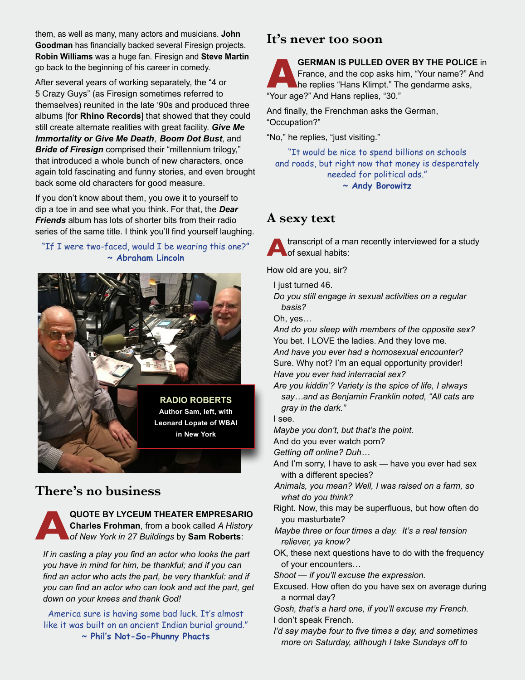them, as well as many, many actors and musicians. **John Goodman** has financially backed several Firesign projects. **Robin Williams** was a huge fan. Firesign and **Steve Martin** go back to the beginning of his career in comedy.

After several years of working separately, the "4 or 5 Crazy Guys" (as Firesign sometimes referred to themselves) reunited in the late '90s and produced three albums [for **Rhino Records**] that showed that they could still create alternate realities with great facility. *Give Me Immortality or Give Me Death*, *Boom Dot Bust*, and *Bride of Firesign* comprised their "millennium trilogy," that introduced a whole bunch of new characters, once again told fascinating and funny stories, and even brought back some old characters for good measure.

If you don't know about them, you owe it to yourself to dip a toe in and see what you think. For that, the *Dear Friends* album has lots of shorter bits from their radio series of the same title. I think you'll find yourself laughing.

#### "If I were two-faced, would I be wearing this one?" **~ Abraham Lincoln**



## **There's no business**

**A**<br>**A** Charles Frohman, from a book called A History<br>of New York in 27 Buildings by Sam Roberts: **Charles Frohman**, from a book called *A History of New York in 27 Buildings* by **Sam Roberts**:

*If in casting a play you find an actor who looks the part you have in mind for him, be thankful; and if you can find an actor who acts the part, be very thankful: and if you can find an actor who can look and act the part, get down on your knees and thank God!*

America sure is having some bad luck. It's almost like it was built on an ancient Indian burial ground." **~ Phil's Not-So-Phunny Phacts**

## **It's never too soon**

**GERMAN IS PULLED OVER BY THE POLICE** in<br>
France, and the cop asks him, "Your name?" And<br>
he replies "Hans Klimpt." The gendarme asks,<br>
"Your age?" And Hans replies "20." France, and the cop asks him, "Your name?" And "Your age?" And Hans replies, "30."

And finally, the Frenchman asks the German, "Occupation?"

"No," he replies, "just visiting."

"It would be nice to spend billions on schools and roads, but right now that money is desperately needed for political ads." **~ Andy Borowitz**

## **A sexy text**

**A**transcript of a man recently interviewed for a study of sexual habits:

How old are you, sir?

I just turned 46.

*Do you still engage in sexual activities on a regular basis?*

Oh, yes…

*And do you sleep with members of the opposite sex?* You bet. I LOVE the ladies. And they love me. *And have you ever had a homosexual encounter?* Sure. Why not? I'm an equal opportunity provider! *Have you ever had interracial sex?*

*Are you kiddin'? Variety is the spice of life, I always say…and as Benjamin Franklin noted, "All cats are gray in the dark."*

I see.

*Maybe you don't, but that's the point.*

And do you ever watch porn?

*Getting off online? Duh…*

- And I'm sorry, I have to ask have you ever had sex with a different species?
- *Animals, you mean? Well, I was raised on a farm, so what do you think?*
- Right. Now, this may be superfluous, but how often do you masturbate?
- *Maybe three or four times a day. It's a real tension reliever, ya know?*
- OK, these next questions have to do with the frequency of your encounters…

*Shoot — if you'll excuse the expression.* 

- Excused. How often do you have sex on average during a normal day?
- *Gosh, that's a hard one, if you'll excuse my French.* I don't speak French.
- *I'd say maybe four to five times a day, and sometimes more on Saturday, although I take Sundays off to*